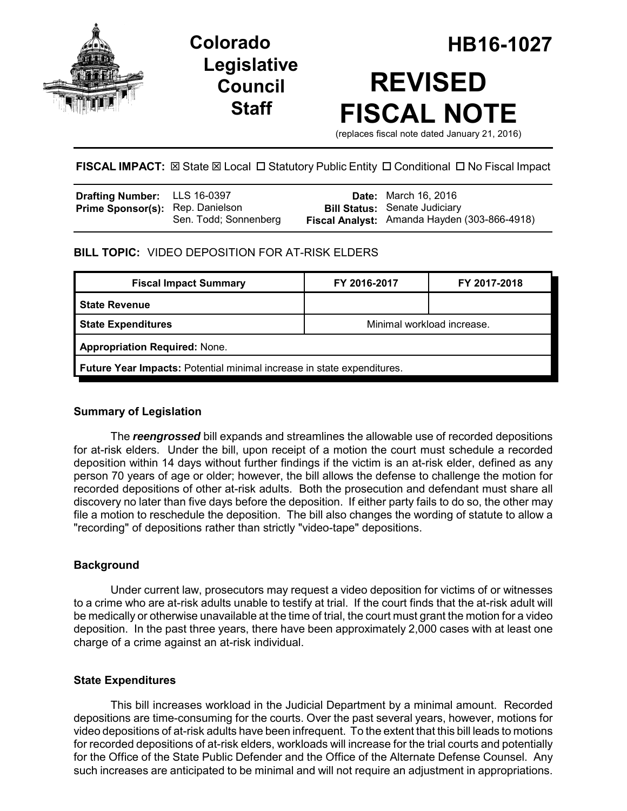

# **Legislative Council Staff**

# **Colorado HB16-1027 REVISED FISCAL NOTE**

(replaces fiscal note dated January 21, 2016)

# **FISCAL IMPACT:**  $\boxtimes$  State  $\boxtimes$  Local  $\Box$  Statutory Public Entity  $\Box$  Conditional  $\Box$  No Fiscal Impact

| <b>Drafting Number:</b> LLS 16-0397     |                       | <b>Date:</b> March 16, 2016                                                          |
|-----------------------------------------|-----------------------|--------------------------------------------------------------------------------------|
| <b>Prime Sponsor(s):</b> Rep. Danielson | Sen. Todd; Sonnenberg | <b>Bill Status:</b> Senate Judiciary<br>Fiscal Analyst: Amanda Hayden (303-866-4918) |

## **BILL TOPIC:** VIDEO DEPOSITION FOR AT-RISK ELDERS

| <b>Fiscal Impact Summary</b>                                           | FY 2016-2017               | FY 2017-2018 |  |  |  |
|------------------------------------------------------------------------|----------------------------|--------------|--|--|--|
| <b>State Revenue</b>                                                   |                            |              |  |  |  |
| <b>State Expenditures</b>                                              | Minimal workload increase. |              |  |  |  |
| <b>Appropriation Required: None.</b>                                   |                            |              |  |  |  |
| Future Year Impacts: Potential minimal increase in state expenditures. |                            |              |  |  |  |

### **Summary of Legislation**

The *reengrossed* bill expands and streamlines the allowable use of recorded depositions for at-risk elders. Under the bill, upon receipt of a motion the court must schedule a recorded deposition within 14 days without further findings if the victim is an at-risk elder, defined as any person 70 years of age or older; however, the bill allows the defense to challenge the motion for recorded depositions of other at-risk adults. Both the prosecution and defendant must share all discovery no later than five days before the deposition. If either party fails to do so, the other may file a motion to reschedule the deposition. The bill also changes the wording of statute to allow a "recording" of depositions rather than strictly "video-tape" depositions.

#### **Background**

Under current law, prosecutors may request a video deposition for victims of or witnesses to a crime who are at-risk adults unable to testify at trial. If the court finds that the at-risk adult will be medically or otherwise unavailable at the time of trial, the court must grant the motion for a video deposition. In the past three years, there have been approximately 2,000 cases with at least one charge of a crime against an at-risk individual.

#### **State Expenditures**

This bill increases workload in the Judicial Department by a minimal amount. Recorded depositions are time-consuming for the courts. Over the past several years, however, motions for video depositions of at-risk adults have been infrequent. To the extent that this bill leads to motions for recorded depositions of at-risk elders, workloads will increase for the trial courts and potentially for the Office of the State Public Defender and the Office of the Alternate Defense Counsel. Any such increases are anticipated to be minimal and will not require an adjustment in appropriations.